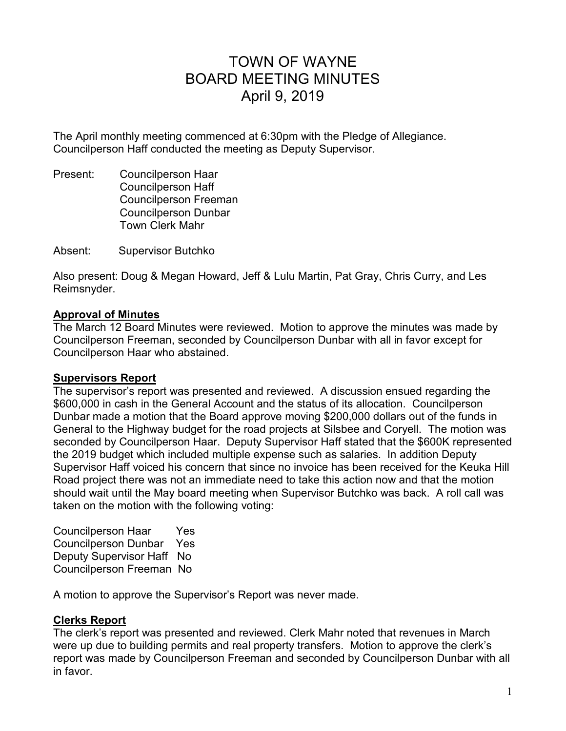# TOWN OF WAYNE BOARD MEETING MINUTES April 9, 2019

The April monthly meeting commenced at 6:30pm with the Pledge of Allegiance. Councilperson Haff conducted the meeting as Deputy Supervisor.

Present: Councilperson Haar Councilperson Haff Councilperson Freeman Councilperson Dunbar Town Clerk Mahr

Absent: Supervisor Butchko

Also present: Doug & Megan Howard, Jeff & Lulu Martin, Pat Gray, Chris Curry, and Les Reimsnyder.

### **Approval of Minutes**

The March 12 Board Minutes were reviewed. Motion to approve the minutes was made by Councilperson Freeman, seconded by Councilperson Dunbar with all in favor except for Councilperson Haar who abstained.

### **Supervisors Report**

The supervisor's report was presented and reviewed. A discussion ensued regarding the \$600,000 in cash in the General Account and the status of its allocation. Councilperson Dunbar made a motion that the Board approve moving \$200,000 dollars out of the funds in General to the Highway budget for the road projects at Silsbee and Coryell. The motion was seconded by Councilperson Haar. Deputy Supervisor Haff stated that the \$600K represented the 2019 budget which included multiple expense such as salaries. In addition Deputy Supervisor Haff voiced his concern that since no invoice has been received for the Keuka Hill Road project there was not an immediate need to take this action now and that the motion should wait until the May board meeting when Supervisor Butchko was back. A roll call was taken on the motion with the following voting:

Councilperson Haar Yes Councilperson Dunbar Yes Deputy Supervisor Haff No Councilperson Freeman No

A motion to approve the Supervisor's Report was never made.

# **Clerks Report**

The clerk's report was presented and reviewed. Clerk Mahr noted that revenues in March were up due to building permits and real property transfers. Motion to approve the clerk's report was made by Councilperson Freeman and seconded by Councilperson Dunbar with all in favor.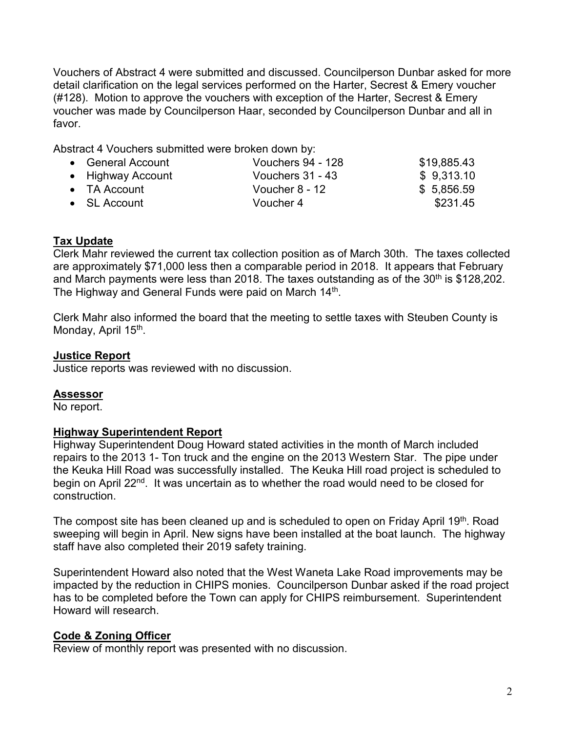Vouchers of Abstract 4 were submitted and discussed. Councilperson Dunbar asked for more detail clarification on the legal services performed on the Harter, Secrest & Emery voucher (#128). Motion to approve the vouchers with exception of the Harter, Secrest & Emery voucher was made by Councilperson Haar, seconded by Councilperson Dunbar and all in favor.

Abstract 4 Vouchers submitted were broken down by:

| • General Account    | Vouchers 94 - 128 | \$19,885.43 |
|----------------------|-------------------|-------------|
| • Highway Account    | Vouchers 31 - 43  | \$9,313.10  |
| $\bullet$ TA Account | Voucher 8 - 12    | \$5,856.59  |
| $\bullet$ SL Account | Voucher 4         | \$231.45    |

# **Tax Update**

Clerk Mahr reviewed the current tax collection position as of March 30th. The taxes collected are approximately \$71,000 less then a comparable period in 2018. It appears that February and March payments were less than 2018. The taxes outstanding as of the  $30<sup>th</sup>$  is \$128,202. The Highway and General Funds were paid on March 14<sup>th</sup>.

Clerk Mahr also informed the board that the meeting to settle taxes with Steuben County is Monday, April 15<sup>th</sup>.

# **Justice Report**

Justice reports was reviewed with no discussion.

# **Assessor**

No report.

# **Highway Superintendent Report**

Highway Superintendent Doug Howard stated activities in the month of March included repairs to the 2013 1- Ton truck and the engine on the 2013 Western Star. The pipe under the Keuka Hill Road was successfully installed. The Keuka Hill road project is scheduled to begin on April 22<sup>nd</sup>. It was uncertain as to whether the road would need to be closed for construction.

The compost site has been cleaned up and is scheduled to open on Friday April 19<sup>th</sup>. Road sweeping will begin in April. New signs have been installed at the boat launch. The highway staff have also completed their 2019 safety training.

Superintendent Howard also noted that the West Waneta Lake Road improvements may be impacted by the reduction in CHIPS monies. Councilperson Dunbar asked if the road project has to be completed before the Town can apply for CHIPS reimbursement. Superintendent Howard will research.

# **Code & Zoning Officer**

Review of monthly report was presented with no discussion.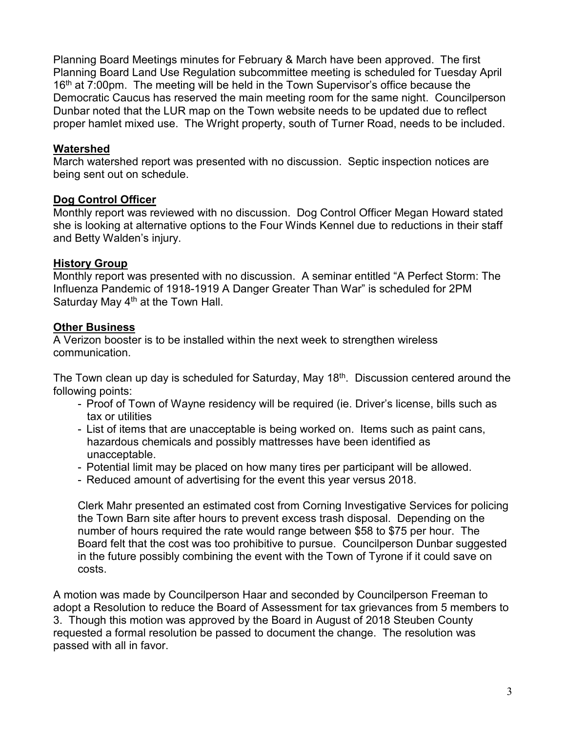Planning Board Meetings minutes for February & March have been approved. The first Planning Board Land Use Regulation subcommittee meeting is scheduled for Tuesday April 16<sup>th</sup> at 7:00pm. The meeting will be held in the Town Supervisor's office because the Democratic Caucus has reserved the main meeting room for the same night. Councilperson Dunbar noted that the LUR map on the Town website needs to be updated due to reflect proper hamlet mixed use. The Wright property, south of Turner Road, needs to be included.

### **Watershed**

March watershed report was presented with no discussion. Septic inspection notices are being sent out on schedule.

### **Dog Control Officer**

Monthly report was reviewed with no discussion. Dog Control Officer Megan Howard stated she is looking at alternative options to the Four Winds Kennel due to reductions in their staff and Betty Walden's injury.

### **History Group**

Monthly report was presented with no discussion. A seminar entitled "A Perfect Storm: The Influenza Pandemic of 1918-1919 A Danger Greater Than War" is scheduled for 2PM Saturday May  $4<sup>th</sup>$  at the Town Hall.

# **Other Business**

A Verizon booster is to be installed within the next week to strengthen wireless communication.

The Town clean up day is scheduled for Saturday, May 18<sup>th</sup>. Discussion centered around the following points:

- Proof of Town of Wayne residency will be required (ie. Driver's license, bills such as tax or utilities
- List of items that are unacceptable is being worked on. Items such as paint cans, hazardous chemicals and possibly mattresses have been identified as unacceptable.
- Potential limit may be placed on how many tires per participant will be allowed.
- Reduced amount of advertising for the event this year versus 2018.

Clerk Mahr presented an estimated cost from Corning Investigative Services for policing the Town Barn site after hours to prevent excess trash disposal. Depending on the number of hours required the rate would range between \$58 to \$75 per hour. The Board felt that the cost was too prohibitive to pursue. Councilperson Dunbar suggested in the future possibly combining the event with the Town of Tyrone if it could save on costs.

A motion was made by Councilperson Haar and seconded by Councilperson Freeman to adopt a Resolution to reduce the Board of Assessment for tax grievances from 5 members to 3. Though this motion was approved by the Board in August of 2018 Steuben County requested a formal resolution be passed to document the change. The resolution was passed with all in favor.